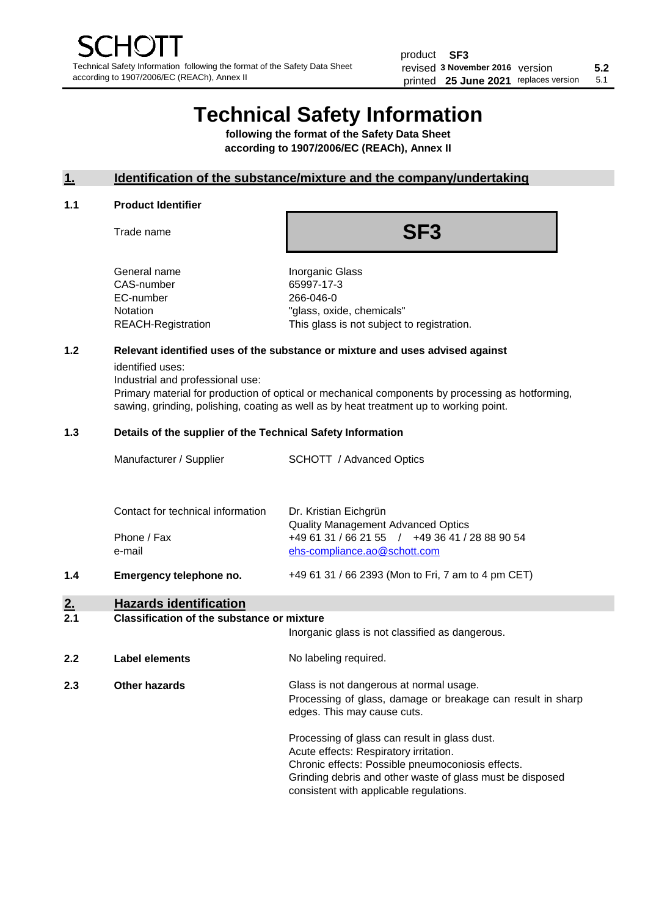# **Technical Safety Information**

**following the format of the Safety Data Sheet according to 1907/2006/EC (REACh), Annex II**

# **1. Identification of the substance/mixture and the company/undertaking**

## **1.1 Product Identifier**

Trade name

# **SF3**

General name **Inorganic Glass** CAS-number 65997-17-3 EC-number 266-046-0

Notation "glass, oxide, chemicals" REACH-Registration This glass is not subject to registration.

# **1.2 Relevant identified uses of the substance or mixture and uses advised against**

identified uses:

Industrial and professional use:

Primary material for production of optical or mechanical components by processing as hotforming, sawing, grinding, polishing, coating as well as by heat treatment up to working point.

#### **1.3 Details of the supplier of the Technical Safety Information**

| Manufacturer / Supplier           | <b>SCHOTT</b> / Advanced Optics                                    |
|-----------------------------------|--------------------------------------------------------------------|
|                                   |                                                                    |
| Contact for technical information | Dr. Kristian Eichgrün<br><b>Quality Management Advanced Optics</b> |
| Phone / Fax                       | +49 61 31 / 66 21 55 / +49 36 41 / 28 88 90 54                     |
| e-mail                            | ehs-compliance.ao@schott.com                                       |

**1.4 Emergency telephone no.** +49 61 31 / 66 2393 (Mon to Fri, 7 am to 4 pm CET)

# **2. Hazards identification**

#### **2.1 Classification of the substance or mixture**

Inorganic glass is not classified as dangerous.

**2.2 Label elements No labeling required.** 

**2.3 Other hazards Glass is not dangerous at normal usage.** Processing of glass, damage or breakage can result in sharp edges. This may cause cuts.

> Processing of glass can result in glass dust. Acute effects: Respiratory irritation. Chronic effects: Possible pneumoconiosis effects. Grinding debris and other waste of glass must be disposed consistent with applicable regulations.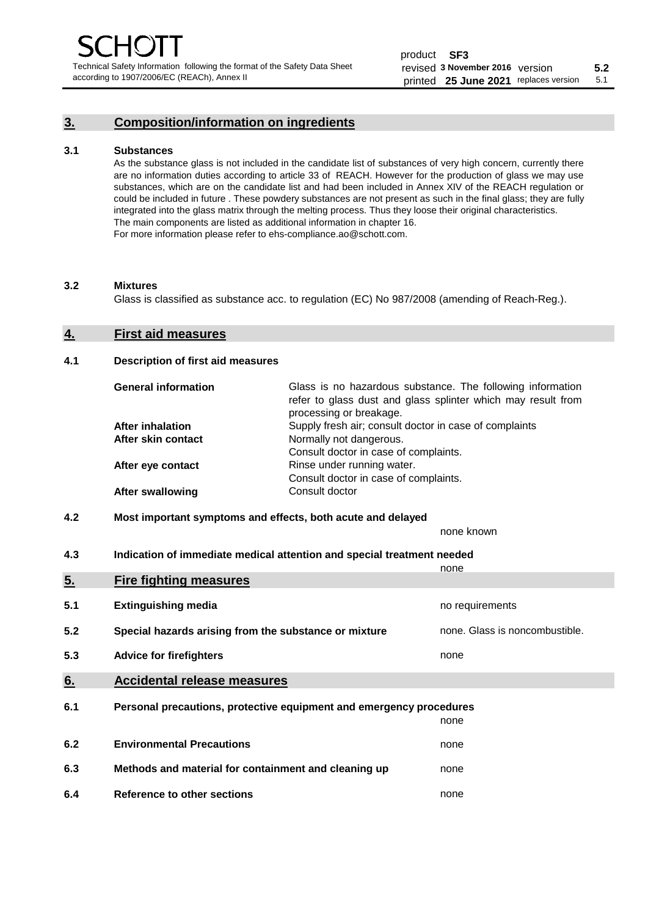# **3. Composition/information on ingredients**

## **3.1 Substances**

As the substance glass is not included in the candidate list of substances of very high concern, currently there are no information duties according to article 33 of REACH. However for the production of glass we may use substances, which are on the candidate list and had been included in Annex XIV of the REACH regulation or could be included in future . These powdery substances are not present as such in the final glass; they are fully integrated into the glass matrix through the melting process. Thus they loose their original characteristics. The main components are listed as additional information in chapter 16. For more information please refer to ehs-compliance.ao@schott.com.

#### **3.2 Mixtures**

Glass is classified as substance acc. to regulation (EC) No 987/2008 (amending of Reach-Reg.).

#### **4. First aid measures**

## **4.1 Description of first aid measures**

| <b>General information</b> | Glass is no hazardous substance. The following information<br>refer to glass dust and glass splinter which may result from<br>processing or breakage. |
|----------------------------|-------------------------------------------------------------------------------------------------------------------------------------------------------|
| <b>After inhalation</b>    | Supply fresh air; consult doctor in case of complaints                                                                                                |
| After skin contact         | Normally not dangerous.                                                                                                                               |
|                            | Consult doctor in case of complaints.                                                                                                                 |
| After eye contact          | Rinse under running water.                                                                                                                            |
|                            | Consult doctor in case of complaints.                                                                                                                 |
| <b>After swallowing</b>    | Consult doctor                                                                                                                                        |

# **4.2 Most important symptoms and effects, both acute and delayed**

none known

**4.3 Indication of immediate medical attention and special treatment needed** 

|     |                                                                     | none                           |
|-----|---------------------------------------------------------------------|--------------------------------|
| 5.  | <b>Fire fighting measures</b>                                       |                                |
| 5.1 | <b>Extinguishing media</b>                                          | no requirements                |
| 5.2 | Special hazards arising from the substance or mixture               | none. Glass is noncombustible. |
| 5.3 | <b>Advice for firefighters</b>                                      | none                           |
| 6.  | <b>Accidental release measures</b>                                  |                                |
| 6.1 | Personal precautions, protective equipment and emergency procedures |                                |
|     |                                                                     | none                           |
| 6.2 | <b>Environmental Precautions</b>                                    | none                           |
| 6.3 | Methods and material for containment and cleaning up                | none                           |
| 6.4 | Reference to other sections                                         | none                           |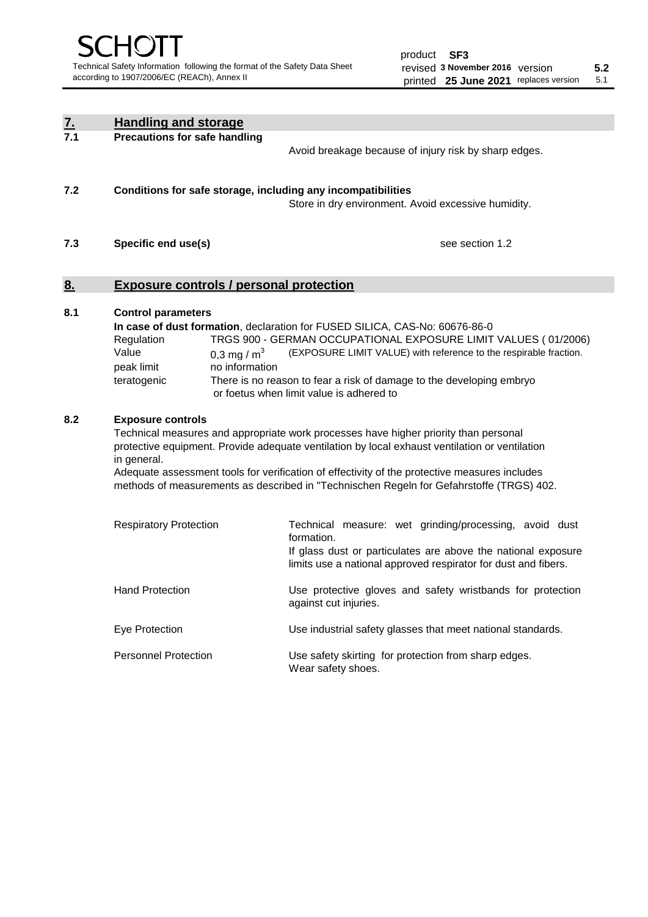| $\underline{7}$ . | <b>Handling and storage</b>                                                                                                                                                                                                                                                                                                                                                                                                    |                                                                                                                                                                                                                                                                                                                                        |
|-------------------|--------------------------------------------------------------------------------------------------------------------------------------------------------------------------------------------------------------------------------------------------------------------------------------------------------------------------------------------------------------------------------------------------------------------------------|----------------------------------------------------------------------------------------------------------------------------------------------------------------------------------------------------------------------------------------------------------------------------------------------------------------------------------------|
| 7.1               | <b>Precautions for safe handling</b>                                                                                                                                                                                                                                                                                                                                                                                           | Avoid breakage because of injury risk by sharp edges.                                                                                                                                                                                                                                                                                  |
| 7.2               | Conditions for safe storage, including any incompatibilities                                                                                                                                                                                                                                                                                                                                                                   | Store in dry environment. Avoid excessive humidity.                                                                                                                                                                                                                                                                                    |
| 7.3               | Specific end use(s)                                                                                                                                                                                                                                                                                                                                                                                                            | see section 1.2                                                                                                                                                                                                                                                                                                                        |
| 8.                | <b>Exposure controls / personal protection</b>                                                                                                                                                                                                                                                                                                                                                                                 |                                                                                                                                                                                                                                                                                                                                        |
| 8.1               | <b>Control parameters</b><br>Regulation<br>Value<br>0.3 mg / $m^3$<br>peak limit<br>no information<br>teratogenic                                                                                                                                                                                                                                                                                                              | In case of dust formation, declaration for FUSED SILICA, CAS-No: 60676-86-0<br>TRGS 900 - GERMAN OCCUPATIONAL EXPOSURE LIMIT VALUES (01/2006)<br>(EXPOSURE LIMIT VALUE) with reference to the respirable fraction.<br>There is no reason to fear a risk of damage to the developing embryo<br>or foetus when limit value is adhered to |
| 8.2               | <b>Exposure controls</b><br>Technical measures and appropriate work processes have higher priority than personal<br>protective equipment. Provide adequate ventilation by local exhaust ventilation or ventilation<br>in general.<br>Adequate assessment tools for verification of effectivity of the protective measures includes<br>methods of measurements as described in "Technischen Regeln for Gefahrstoffe (TRGS) 402. |                                                                                                                                                                                                                                                                                                                                        |
|                   | <b>Respiratory Protection</b>                                                                                                                                                                                                                                                                                                                                                                                                  | Technical measure: wet grinding/processing, avoid dust<br>formation.<br>If glass dust or particulates are above the national exposure<br>limits use a national approved respirator for dust and fibers.                                                                                                                                |
|                   | <b>Hand Protection</b>                                                                                                                                                                                                                                                                                                                                                                                                         | Use protective gloves and safety wristbands for protection<br>against cut injuries.                                                                                                                                                                                                                                                    |
|                   | Eye Protection                                                                                                                                                                                                                                                                                                                                                                                                                 | Use industrial safety glasses that meet national standards.                                                                                                                                                                                                                                                                            |
|                   | <b>Personnel Protection</b>                                                                                                                                                                                                                                                                                                                                                                                                    | Use safety skirting for protection from sharp edges.<br>Wear safety shoes.                                                                                                                                                                                                                                                             |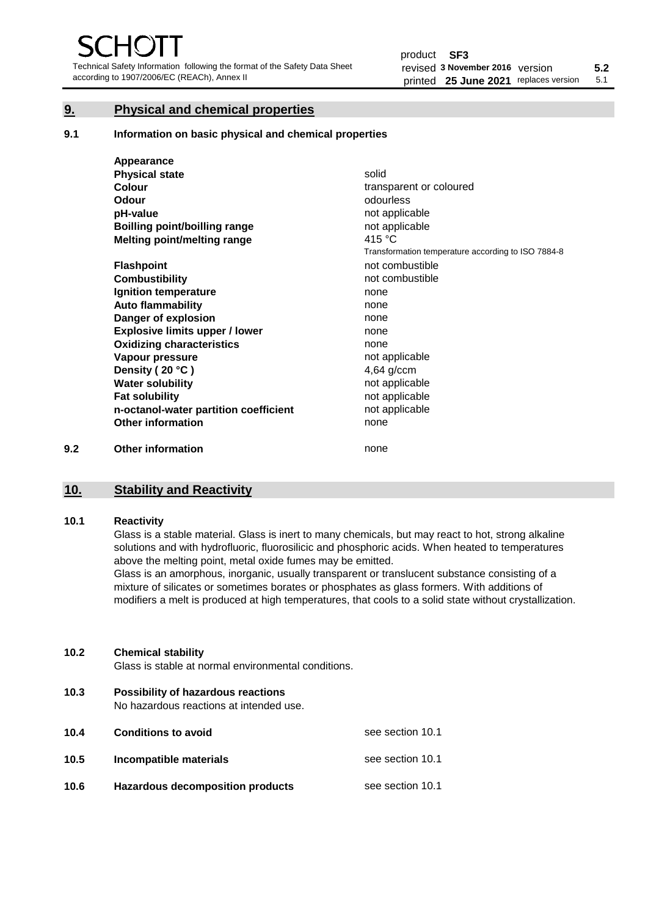Technical Safety Information following the format of the Safety Data Sheet according to 1907/2006/EC (REACh), Annex II

# **9. Physical and chemical properties**

**9.1 Information on basic physical and chemical properties**

|     | Appearance                            |                                                    |
|-----|---------------------------------------|----------------------------------------------------|
|     | <b>Physical state</b>                 | solid                                              |
|     | Colour                                | transparent or coloured                            |
|     | Odour                                 | odourless                                          |
|     | pH-value                              | not applicable                                     |
|     | Boilling point/boilling range         | not applicable                                     |
|     | Melting point/melting range           | 415 $\degree$ C                                    |
|     |                                       | Transformation temperature according to ISO 7884-8 |
|     | <b>Flashpoint</b>                     | not combustible                                    |
|     | <b>Combustibility</b>                 | not combustible                                    |
|     | Ignition temperature                  | none                                               |
|     | <b>Auto flammability</b>              | none                                               |
|     | Danger of explosion                   | none                                               |
|     | <b>Explosive limits upper / lower</b> | none                                               |
|     | <b>Oxidizing characteristics</b>      | none                                               |
|     | Vapour pressure                       | not applicable                                     |
|     | Density (20 °C)                       | $4,64$ g/ccm                                       |
|     | <b>Water solubility</b>               | not applicable                                     |
|     | <b>Fat solubility</b>                 | not applicable                                     |
|     | n-octanol-water partition coefficient | not applicable                                     |
|     | <b>Other information</b>              | none                                               |
| 9.2 | <b>Other information</b>              | none                                               |

# **10. Stability and Reactivity**

#### **10.1 Reactivity**

Glass is a stable material. Glass is inert to many chemicals, but may react to hot, strong alkaline solutions and with hydrofluoric, fluorosilicic and phosphoric acids. When heated to temperatures above the melting point, metal oxide fumes may be emitted.

Glass is an amorphous, inorganic, usually transparent or translucent substance consisting of a mixture of silicates or sometimes borates or phosphates as glass formers. With additions of modifiers a melt is produced at high temperatures, that cools to a solid state without crystallization.

# **10.2 Chemical stability**

Glass is stable at normal environmental conditions.

**10.3 Possibility of hazardous reactions** 

No hazardous reactions at intended use.

| 10.4 | <b>Conditions to avoid</b>       | see section 10.1 |
|------|----------------------------------|------------------|
| 10.5 | Incompatible materials           | see section 10.1 |
| 10.6 | Hazardous decomposition products | see section 10.1 |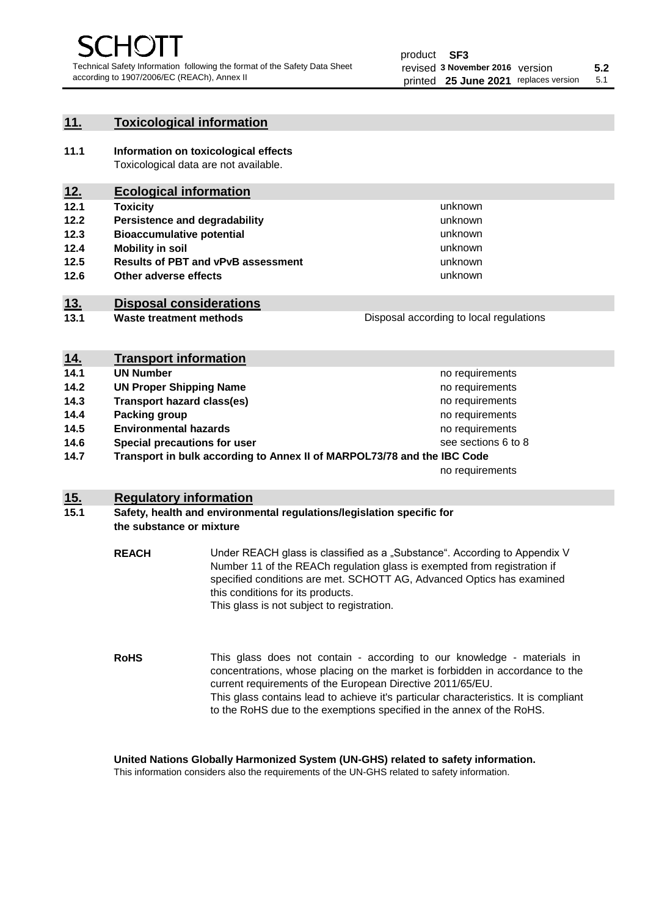# **11. Toxicological information**

**11.1 Information on toxicological effects** Toxicological data are not available.

# **12. Ecological information**

- **12.1 Toxicity**
- **12.2 Persistence and degradability**
- **12.3 Bioaccumulative potential**
- **12.4 Mobility in soil**
- **12.5 Results of PBT and vPvB assessment**
- **12.6 Other adverse effects**

# **13. Disposal considerations**

**13.1 Waste treatment methods**

Disposal according to local regulations

unknown unknown unknown

unknown unknown unknown

| <u>14.</u> | <b>Transport information</b>                                            |                     |
|------------|-------------------------------------------------------------------------|---------------------|
| 14.1       | <b>UN Number</b>                                                        | no requirements     |
| 14.2       | <b>UN Proper Shipping Name</b>                                          | no requirements     |
| 14.3       | <b>Transport hazard class(es)</b>                                       | no requirements     |
| 14.4       | Packing group                                                           | no requirements     |
| 14.5       | <b>Environmental hazards</b>                                            | no requirements     |
| 14.6       | Special precautions for user                                            | see sections 6 to 8 |
| 14.7       | Transport in bulk according to Annex II of MARPOL73/78 and the IBC Code |                     |
|            |                                                                         | no requirements     |

# **15. Regulatory information**

# **15.1 Safety, health and environmental regulations/legislation specific for the substance or mixture**

**REACH** Under REACH glass is classified as a "Substance". According to Appendix V Number 11 of the REACh regulation glass is exempted from registration if specified conditions are met. SCHOTT AG, Advanced Optics has examined this conditions for its products. This glass is not subject to registration.

**RoHS** This glass does not contain - according to our knowledge - materials in concentrations, whose placing on the market is forbidden in accordance to the current requirements of the European Directive 2011/65/EU. This glass contains lead to achieve it's particular characteristics. It is compliant to the RoHS due to the exemptions specified in the annex of the RoHS.

**United Nations Globally Harmonized System (UN-GHS) related to safety information.**

This information considers also the requirements of the UN-GHS related to safety information.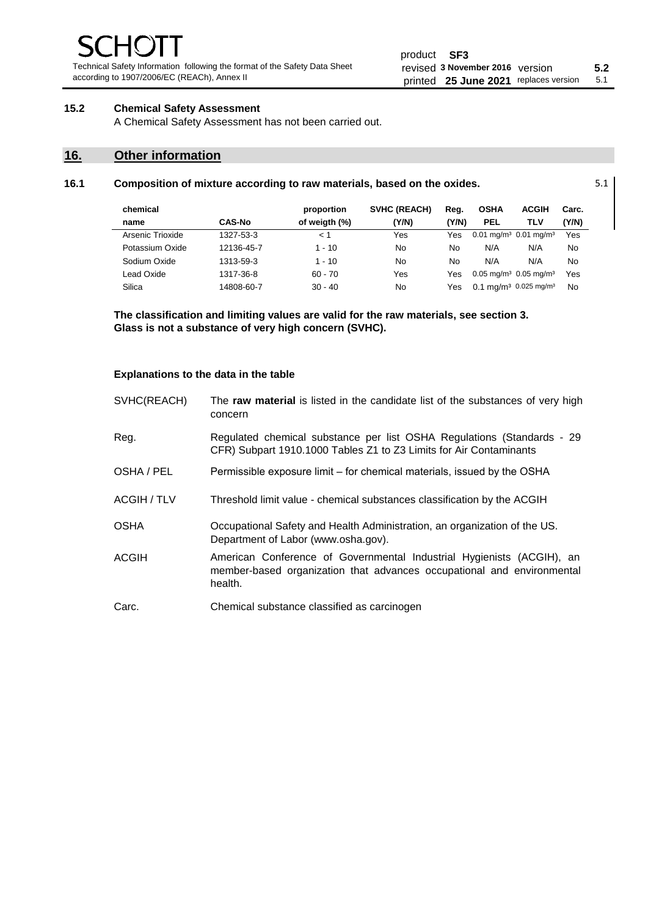Technical Safety Information following the format of the Safety Data Sheet according to 1907/2006/EC (REACh), Annex II

# **15.2 Chemical Safety Assessment**

A Chemical Safety Assessment has not been carried out.

# **16. Other information**

| 16.1 | Composition of mixture according to raw materials, based on the oxides. | 5.1 |
|------|-------------------------------------------------------------------------|-----|
|------|-------------------------------------------------------------------------|-----|

| chemical         |               | proportion    | <b>SVHC (REACH)</b> | Reg.  | <b>OSHA</b>                                       | <b>ACGIH</b> | Carc. |
|------------------|---------------|---------------|---------------------|-------|---------------------------------------------------|--------------|-------|
| name             | <b>CAS-No</b> | of weigth (%) | (Y/N)               | (Y/N) | <b>PEL</b>                                        | TLV          | (Y/N) |
| Arsenic Trioxide | 1327-53-3     | < 1           | Yes                 | Yes   | $0.01$ mg/m <sup>3</sup> $0.01$ mg/m <sup>3</sup> |              | Yes   |
| Potassium Oxide  | 12136-45-7    | $1 - 10$      | No                  | No    | N/A                                               | N/A          | No    |
| Sodium Oxide     | 1313-59-3     | $1 - 10$      | No                  | No    | N/A                                               | N/A          | No    |
| Lead Oxide       | 1317-36-8     | $60 - 70$     | Yes                 | Yes   | $0.05$ mg/m <sup>3</sup> 0.05 mg/m <sup>3</sup>   |              | Yes   |
| Silica           | 14808-60-7    | $30 - 40$     | No                  | Yes   | 0.1 mg/m <sup>3</sup> 0.025 mg/m <sup>3</sup>     |              | No    |

**The classification and limiting values are valid for the raw materials, see section 3. Glass is not a substance of very high concern (SVHC).**

#### **Explanations to the data in the table**

| SVHC(REACH)  | The raw material is listed in the candidate list of the substances of very high<br>concern                                                                 |
|--------------|------------------------------------------------------------------------------------------------------------------------------------------------------------|
| Reg.         | Regulated chemical substance per list OSHA Regulations (Standards - 29<br>CFR) Subpart 1910.1000 Tables Z1 to Z3 Limits for Air Contaminants               |
| OSHA / PEL   | Permissible exposure limit – for chemical materials, issued by the OSHA                                                                                    |
| ACGIH / TLV  | Threshold limit value - chemical substances classification by the ACGIH                                                                                    |
| <b>OSHA</b>  | Occupational Safety and Health Administration, an organization of the US.<br>Department of Labor (www.osha.gov).                                           |
| <b>ACGIH</b> | American Conference of Governmental Industrial Hygienists (ACGIH), an<br>member-based organization that advances occupational and environmental<br>health. |
| Carc.        | Chemical substance classified as carcinogen                                                                                                                |